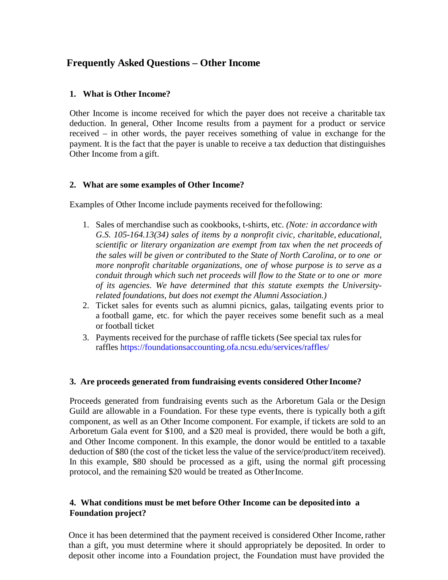# **Frequently Asked Questions – Other Income**

#### **1. What is Other Income?**

Other Income is income received for which the payer does not receive a charitable tax deduction. In general, Other Income results from a payment for a product or service received – in other words, the payer receives something of value in exchange for the payment. It is the fact that the payer is unable to receive a tax deduction that distinguishes Other Income from a gift.

### **2. What are some examples of Other Income?**

Examples of Other Income include payments received for thefollowing:

- 1. Sales of merchandise such as cookbooks, t-shirts, etc. *(Note: in accordancewith G.S. 105-164.13(34) sales of items by a nonprofit civic, charitable, educational, scientific or literary organization are exempt from tax when the net proceeds of the sales will be given or contributed to the State of North Carolina, or to one or more nonprofit charitable organizations, one of whose purpose is to serve as a conduit through which such net proceeds will flow to the State or to one or more of its agencies. We have determined that this statute exempts the Universityrelated foundations, but does not exempt the Alumni Association.)*
- 2. Ticket sales for events such as alumni picnics, galas, tailgating events prior to a football game, etc. for which the payer receives some benefit such as a meal or football ticket
- 3. Payments received for the purchase of raffle tickets (See special tax rulesfor raffles https://foundationsaccounting.ofa.ncsu.edu/services/raffles/

#### **3. Are proceeds generated from fundraising events considered OtherIncome?**

Proceeds generated from fundraising events such as the Arboretum Gala or the Design Guild are allowable in a Foundation. For these type events, there is typically both a gift component, as well as an Other Income component. For example, if tickets are sold to an Arboretum Gala event for \$100, and a \$20 meal is provided, there would be both a gift, and Other Income component. In this example, the donor would be entitled to a taxable deduction of \$80 (the cost of the ticket less the value of the service/product/item received). In this example, \$80 should be processed as a gift, using the normal gift processing protocol, and the remaining \$20 would be treated as OtherIncome.

### **4. What conditions must be met before Other Income can be deposited into a Foundation project?**

Once it has been determined that the payment received is considered Other Income, rather than a gift, you must determine where it should appropriately be deposited. In order to deposit other income into a Foundation project, the Foundation must have provided the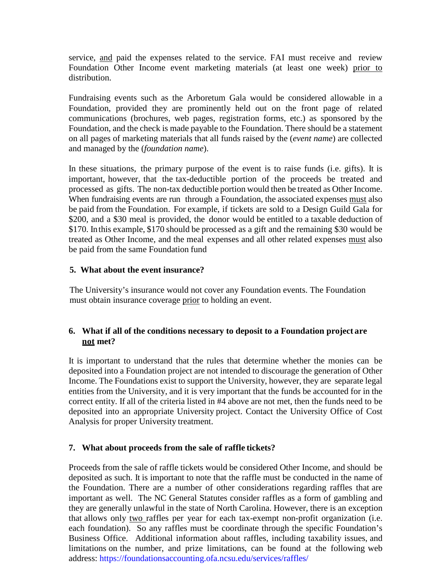service, and paid the expenses related to the service. FAI must receive and review Foundation Other Income event marketing materials (at least one week) prior to distribution.

Fundraising events such as the Arboretum Gala would be considered allowable in a Foundation, provided they are prominently held out on the front page of related communications (brochures, web pages, registration forms, etc.) as sponsored by the Foundation, and the check is made payable to the Foundation. There should be a statement on all pages of marketing materials that all funds raised by the (*event name*) are collected and managed by the (*foundation name*).

In these situations, the primary purpose of the event is to raise funds (i.e. gifts). It is important, however, that the tax-deductible portion of the proceeds be treated and processed as gifts. The non-tax deductible portion would then be treated as Other Income. When fundraising events are run through a Foundation, the associated expenses must also be paid from the Foundation. For example, if tickets are sold to a Design Guild Gala for \$200, and a \$30 meal is provided, the donor would be entitled to a taxable deduction of \$170. Inthis example, \$170 should be processed as a gift and the remaining \$30 would be treated as Other Income, and the meal expenses and all other related expenses must also be paid from the same Foundation fund

### **5. What about the event insurance?**

The University's insurance would not cover any Foundation events. The Foundation must obtain insurance coverage prior to holding an event.

## **6. What if all of the conditions necessary to deposit to a Foundation project are not met?**

It is important to understand that the rules that determine whether the monies can be deposited into a Foundation project are not intended to discourage the generation of Other Income. The Foundations exist to support the University, however, they are separate legal entities from the University, and it is very important that the funds be accounted for in the correct entity. If all of the criteria listed in #4 above are not met, then the funds need to be deposited into an appropriate University project. Contact the University Office of Cost Analysis for proper University treatment.

## **7. What about proceeds from the sale of raffle tickets?**

Proceeds from the sale of raffle tickets would be considered Other Income, and should be deposited as such. It is important to note that the raffle must be conducted in the name of the Foundation. There are a number of other considerations regarding raffles that are important as well. The NC General Statutes consider raffles as a form of gambling and they are generally unlawful in the state of North Carolina. However, there is an exception that allows only two raffles per year for each tax-exempt non-profit organization (i.e. each foundation). So any raffles must be coordinate through the specific Foundation's Business Office. Additional information about raffles, including taxability issues, and limitations on the number, and prize limitations, can be found at the following web address: https://foundationsaccounting.ofa.ncsu.edu/services/raffles/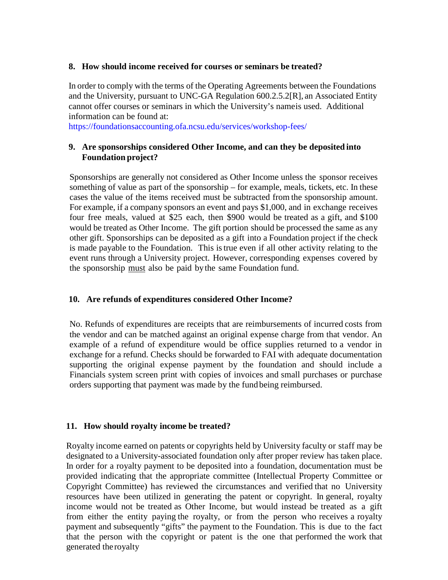#### **8. How should income received for courses or seminars be treated?**

In order to comply with the terms of the Operating Agreements between the Foundations and the University, pursuant to UNC-GA Regulation 600.2.5.2[R], an Associated Entity cannot offer courses or seminars in which the University's nameis used. Additional information can be found at:

https://foundationsaccounting.ofa.ncsu.edu/services/workshop-fees/

## **9. Are sponsorships considered Other Income, and can they be deposited into Foundation project?**

Sponsorships are generally not considered as Other Income unless the sponsor receives something of value as part of the sponsorship – for example, meals, tickets, etc. In these cases the value of the items received must be subtracted from the sponsorship amount. For example, if a company sponsors an event and pays \$1,000, and in exchange receives four free meals, valued at \$25 each, then \$900 would be treated as a gift, and \$100 would be treated as Other Income. The gift portion should be processed the same as any other gift. Sponsorships can be deposited as a gift into a Foundation project if the check is made payable to the Foundation. This istrue even if all other activity relating to the event runs through a University project. However, corresponding expenses covered by the sponsorship must also be paid bythe same Foundation fund.

## **10. Are refunds of expenditures considered Other Income?**

No. Refunds of expenditures are receipts that are reimbursements of incurred costs from the vendor and can be matched against an original expense charge from that vendor. An example of a refund of expenditure would be office supplies returned to a vendor in exchange for a refund. Checks should be forwarded to FAI with adequate documentation supporting the original expense payment by the foundation and should include a Financials system screen print with copies of invoices and small purchases or purchase orders supporting that payment was made by the fund being reimbursed.

#### **11. How should royalty income be treated?**

Royalty income earned on patents or copyrights held by University faculty or staff may be designated to a University-associated foundation only after proper review has taken place. In order for a royalty payment to be deposited into a foundation, documentation must be provided indicating that the appropriate committee (Intellectual Property Committee or Copyright Committee) has reviewed the circumstances and verified that no University resources have been utilized in generating the patent or copyright. In general, royalty income would not be treated as Other Income, but would instead be treated as a gift from either the entity paying the royalty, or from the person who receives a royalty payment and subsequently "gifts" the payment to the Foundation. This is due to the fact that the person with the copyright or patent is the one that performed the work that generated the royalty